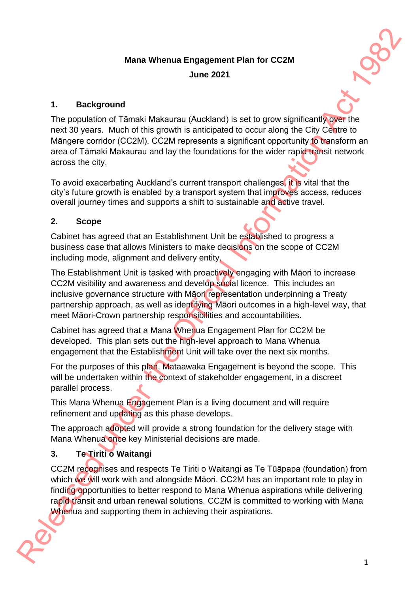# **Mana Whenua Engagement Plan for CC2M June 2021**



#### **1. Background**

The population of Tāmaki Makaurau (Auckland) is set to grow significantly over the next 30 years. Much of this growth is anticipated to occur along the City Centre to Māngere corridor (CC2M). CC2M represents a significant opportunity to transform an area of Tāmaki Makaurau and lay the foundations for the wider rapid transit network across the city. Mana Whenua Engagement Plan for CC2M<br>
June 2021<br>
June 2021<br>
The population of Tamaki Makaurau (Auckland) is set to grow significant Content<br>
The population of Tamaki Makaurau and significant copy and the CR (CR CR interes

To avoid exacerbating Auckland's current transport challenges, it is vital that the city's future growth is enabled by a transport system that improves access, reduces overall journey times and supports a shift to sustainable and active travel.

#### **2. Scope**

Cabinet has agreed that an Establishment Unit be established to progress a business case that allows Ministers to make decisions on the scope of CC2M including mode, alignment and delivery entity.

The Establishment Unit is tasked with proactively engaging with Māori to increase CC2M visibility and awareness and develop social licence. This includes an inclusive governance structure with Māori representation underpinning a Treaty partnership approach, as well as identifying Māori outcomes in a high-level way, that meet Māori-Crown partnership responsibilities and accountabilities.

Cabinet has agreed that a Mana Whenua Engagement Plan for CC2M be developed. This plan sets out the high-level approach to Mana Whenua engagement that the Establishment Unit will take over the next six months.

For the purposes of this plan, Mataawaka Engagement is beyond the scope. This will be undertaken within the context of stakeholder engagement, in a discreet parallel process.

This Mana Whenua Engagement Plan is a living document and will require refinement and updating as this phase develops.

The approach adopted will provide a strong foundation for the delivery stage with Mana Whenua once key Ministerial decisions are made.

### **3. Te Tiriti o Waitangi**

CC2M recognises and respects Te Tiriti o Waitangi as Te Tūāpapa (foundation) from which we will work with and alongside Māori. CC2M has an important role to play in finding opportunities to better respond to Mana Whenua aspirations while delivering rapid transit and urban renewal solutions. CC2M is committed to working with Mana Whenua and supporting them in achieving their aspirations.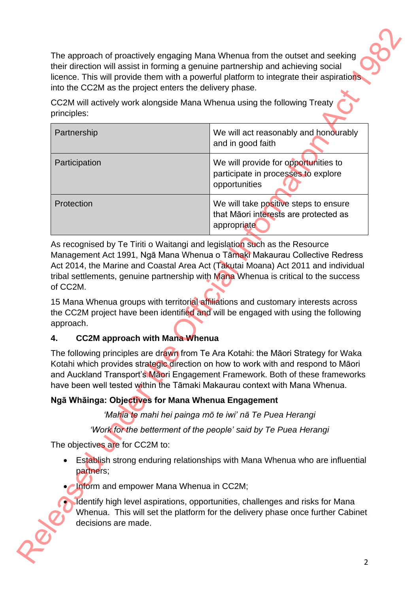| into the CC2M as the project enters the delivery phase. | licence. This will provide them with a powerful platform to integrate their aspirations.                                                                                                                                                                        |
|---------------------------------------------------------|-----------------------------------------------------------------------------------------------------------------------------------------------------------------------------------------------------------------------------------------------------------------|
| principles:                                             | CC2M will actively work alongside Mana Whenua using the following Treaty                                                                                                                                                                                        |
| Partnership                                             | We will act reasonably and honourably<br>and in good faith                                                                                                                                                                                                      |
| Participation                                           | We will provide for opportunities to<br>participate in processes to explore<br>opportunities                                                                                                                                                                    |
| Protection                                              | We will take positive steps to ensure<br>that Māori interests are protected as<br>appropriate                                                                                                                                                                   |
|                                                         | Management Act 1991, Ngā Mana Whenua o Tāmaki Makaurau Collective Redress<br>Act 2014, the Marine and Coastal Area Act (Takutai Moana) Act 2011 and individual                                                                                                  |
| of CC2M.<br>approach.                                   | tribal settlements, genuine partnership with Mana Whenua is critical to the success<br>15 Mana Whenua groups with territorial affiliations and customary interests across<br>the CC2M project have been identified and will be engaged with using the following |
| <b>CC2M approach with Mana Whenua</b>                   |                                                                                                                                                                                                                                                                 |
| 4.                                                      | The following principles are drawn from Te Ara Kotahi: the Māori Strategy for Waka<br>Kotahi which provides strategic direction on how to work with and respond to Māori<br>have been well tested within the Tāmaki Makaurau context with Mana Whenua.          |
| Ngā Whāinga: Objectives for Mana Whenua Engagement      | and Auckland Transport's Maori Engagement Framework. Both of these frameworks                                                                                                                                                                                   |
|                                                         | 'Mahia te mahi hei painga mō te iwi' nā Te Puea Herangi                                                                                                                                                                                                         |
|                                                         | 'Work for the betterment of the people' said by Te Puea Herangi                                                                                                                                                                                                 |
| The objectives are for CC2M to:                         |                                                                                                                                                                                                                                                                 |
| partners;                                               | Establish strong enduring relationships with Mana Whenua who are influential                                                                                                                                                                                    |
| • Inform and empower Mana Whenua in CC2M;               | Identify high level aspirations, opportunities, challenges and risks for Mana                                                                                                                                                                                   |

### **4. CC2M approach with Mana Whenua**

### **Ngā Whāinga: Objectives for Mana Whenua Engagement**

- Establish strong enduring relationships with Mana Whenua who are influential partners;
- **Inform and empower Mana Whenua in CC2M;** 
	- Identify high level aspirations, opportunities, challenges and risks for Mana Whenua. This will set the platform for the delivery phase once further Cabinet decisions are made.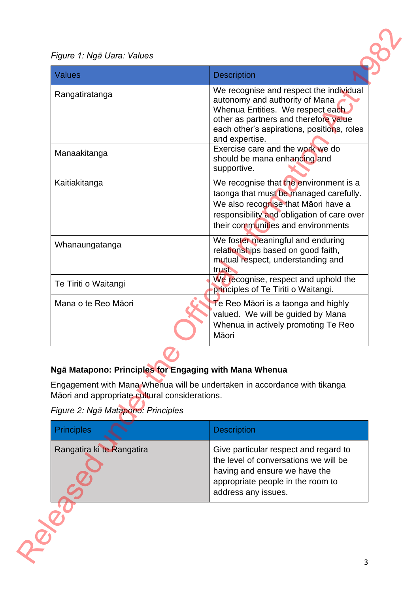#### *Figure 1: Ngā Uara: Values*

| <b>Values</b>                                                                                                                                  | <b>Description</b>                                                                                                                                                                                                                                                                         |
|------------------------------------------------------------------------------------------------------------------------------------------------|--------------------------------------------------------------------------------------------------------------------------------------------------------------------------------------------------------------------------------------------------------------------------------------------|
| Rangatiratanga<br>Manaakitanga                                                                                                                 | We recognise and respect the individual<br>autonomy and authority of Mana<br>Whenua Entities. We respect each<br>other as partners and therefore value<br>each other's aspirations, positions, roles<br>and expertise.<br>Exercise care and the work we do<br>should be mana enhancing and |
|                                                                                                                                                | supportive.                                                                                                                                                                                                                                                                                |
| Kaitiakitanga                                                                                                                                  | We recognise that the environment is a<br>taonga that must be managed carefully.<br>We also recognise that Māori have a<br>responsibility and obligation of care over<br>their communities and environments                                                                                |
| Whanaungatanga                                                                                                                                 | We foster meaningful and enduring<br>relationships based on good faith,<br>mutual respect, understanding and<br>trust.                                                                                                                                                                     |
| Te Tiriti o Waitangi                                                                                                                           | We recognise, respect and uphold the<br>principles of Te Tiriti o Waitangi.                                                                                                                                                                                                                |
| Mana o te Reo Māori                                                                                                                            | Te Reo Māori is a taonga and highly<br>valued. We will be guided by Mana<br>Whenua in actively promoting Te Reo<br>Māori                                                                                                                                                                   |
| Ngā Matapono: Principles for Engaging with Mana Whenua<br>Māori and appropriate cultural considerations.<br>Figure 2: Ngā Matapono: Principles | Engagement with Mana Whenua will be undertaken in accordance with tikanga                                                                                                                                                                                                                  |
| <b>Principles</b>                                                                                                                              | <b>Description</b>                                                                                                                                                                                                                                                                         |
| Rangatira ki te Rangatira                                                                                                                      | Give particular respect and regard to<br>the level of conversations we will be<br>having and ensure we have the<br>appropriate people in the room to                                                                                                                                       |

### **Ngā Matapono: Principles for Engaging with Mana Whenua**

*Figure 2: Ngā Matapono: Principles*

| <b>Principles</b>         | <b>Description</b>                                                                                                                                                          |
|---------------------------|-----------------------------------------------------------------------------------------------------------------------------------------------------------------------------|
| Rangatira ki te Rangatira | Give particular respect and regard to<br>the level of conversations we will be<br>having and ensure we have the<br>appropriate people in the room to<br>address any issues. |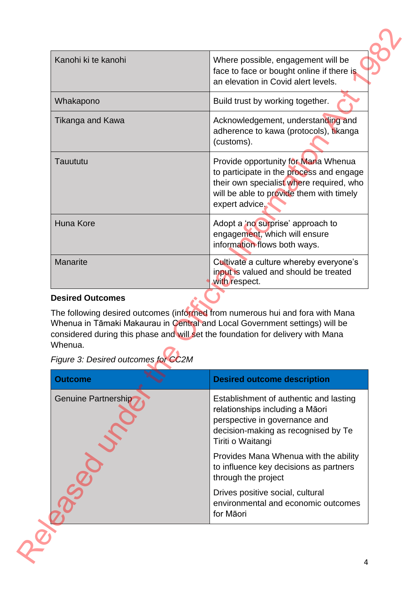| Kanohi ki te kanohi                            | Where possible, engagement will be<br>face to face or bought online if there is<br>an elevation in Covid alert levels.                                                                                                                          |
|------------------------------------------------|-------------------------------------------------------------------------------------------------------------------------------------------------------------------------------------------------------------------------------------------------|
| Whakapono                                      | Build trust by working together.                                                                                                                                                                                                                |
| Tikanga and Kawa                               | Acknowledgement, understanding and<br>adherence to kawa (protocols), tikanga<br>(customs).                                                                                                                                                      |
| Tauututu                                       | Provide opportunity for Mana Whenua<br>to participate in the process and engage<br>their own specialist where required, who<br>will be able to provide them with timely<br>expert advice.                                                       |
| Huna Kore                                      | Adopt a 'no surprise' approach to<br>engagement, which will ensure                                                                                                                                                                              |
|                                                | information flows both ways.                                                                                                                                                                                                                    |
| Manarite<br><b>Desired Outcomes</b>            | Cultivate a culture whereby everyone's<br>input is valued and should be treated<br>with respect.                                                                                                                                                |
| Whenua.<br>Figure 3: Desired outcomes for CC2M | The following desired outcomes (informed from numerous hui and fora with Mana<br>Whenua in Tāmaki Makaurau in Central and Local Government settings) will be<br>considered during this phase and will set the foundation for delivery with Mana |
| <b>Outcome</b>                                 | <b>Desired outcome description</b>                                                                                                                                                                                                              |
| Genuine Partnership                            | Establishment of authentic and lasting<br>relationships including a Māori<br>perspective in governance and<br>decision-making as recognised by Te<br>Tiriti o Waitangi                                                                          |
|                                                | Provides Mana Whenua with the ability<br>to influence key decisions as partners<br>through the project                                                                                                                                          |

#### **Desired Outcomes**

| Figure 3: Desired outcomes for CC2M |  |  |  |
|-------------------------------------|--|--|--|
|                                     |  |  |  |

| <b>Outcome</b>      | <b>Desired outcome description</b>                                                                                                                                     |
|---------------------|------------------------------------------------------------------------------------------------------------------------------------------------------------------------|
| Genuine Partnership | Establishment of authentic and lasting<br>relationships including a Māori<br>perspective in governance and<br>decision-making as recognised by Te<br>Tiriti o Waitangi |
|                     | Provides Mana Whenua with the ability<br>to influence key decisions as partners<br>through the project                                                                 |
|                     | Drives positive social, cultural<br>environmental and economic outcomes<br>for Māori                                                                                   |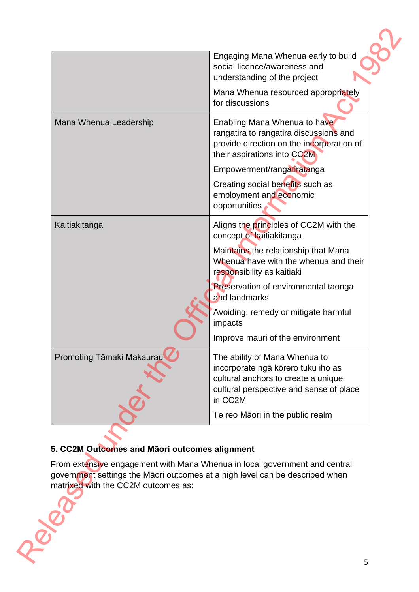|                                               | Engaging Mana Whenua early to build<br>social licence/awareness and<br>understanding of the project                                                              |
|-----------------------------------------------|------------------------------------------------------------------------------------------------------------------------------------------------------------------|
|                                               | Mana Whenua resourced appropriately<br>for discussions                                                                                                           |
| Mana Whenua Leadership                        | Enabling Mana Whenua to have<br>rangatira to rangatira discussions and<br>provide direction on the incorporation of<br>their aspirations into CC2M               |
|                                               | Empowerment/rangatiratanga                                                                                                                                       |
|                                               | Creating social benefits such as<br>employment and economic<br>opportunities                                                                                     |
| Kaitiakitanga                                 | Aligns the principles of CC2M with the<br>concept of kaitiakitanga                                                                                               |
|                                               | Maintains the relationship that Mana<br>Whenua have with the whenua and their<br>responsibility as kaitiaki                                                      |
|                                               | Preservation of environmental taonga<br>and landmarks                                                                                                            |
|                                               | Avoiding, remedy or mitigate harmful<br>impacts                                                                                                                  |
|                                               | Improve mauri of the environment                                                                                                                                 |
| Promoting Tāmaki Makaurau                     | The ability of Mana Whenua to<br>incorporate ngā kōrero tuku iho as<br>cultural anchors to create a unique<br>cultural perspective and sense of place<br>in CC2M |
|                                               | Te reo Māori in the public realm                                                                                                                                 |
| 5. CC2M Outcomes and Māori outcomes alignment |                                                                                                                                                                  |
| matrixed with the CC2M outcomes as:           | From extensive engagement with Mana Whenua in local government and central<br>government settings the Māori outcomes at a high level can be described when       |
|                                               |                                                                                                                                                                  |
|                                               |                                                                                                                                                                  |

### **5. CC2M Outcomes and Māori outcomes alignment**

From extensive engagement with Mana Whenua in local government and central government settings the Māori outcomes at a high level can be described when matrixed with the CC2M outcomes as: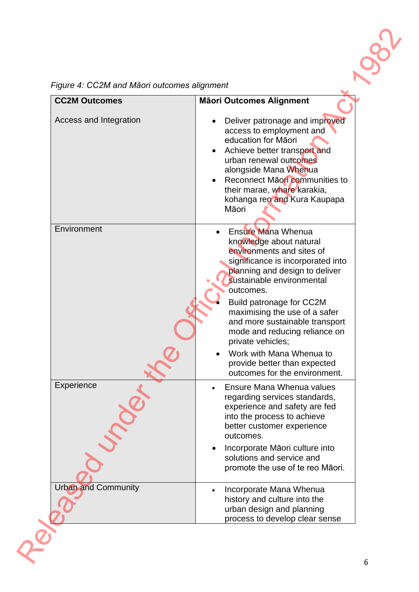|  |  | Figure 4: CC2M and Māori outcomes alignment |  |
|--|--|---------------------------------------------|--|
|  |  |                                             |  |

| <b>CC2M Outcomes</b>       | <b>Mäori Outcomes Alignment</b>                                                                                                                                                                                                                                                                                                                                                                                                                      |
|----------------------------|------------------------------------------------------------------------------------------------------------------------------------------------------------------------------------------------------------------------------------------------------------------------------------------------------------------------------------------------------------------------------------------------------------------------------------------------------|
| Access and Integration     | Deliver patronage and improved<br>access to employment and<br>education for Māori<br>Achieve better transport and<br>urban renewal outcomes<br>alongside Mana Whenua<br>Reconnect Māori communities to<br>their marae, whare karakia,<br>kohanga reo and Kura Kaupapa<br>Māori                                                                                                                                                                       |
| Environment                | <b>Ensure Mana Whenua</b><br>knowledge about natural<br>environments and sites of<br>significance is incorporated into<br>planning and design to deliver<br>sustainable environmental<br>outcomes.<br>Build patronage for CC2M<br>maximising the use of a safer<br>and more sustainable transport<br>mode and reducing reliance on<br>private vehicles;<br>Work with Mana Whenua to<br>provide better than expected<br>outcomes for the environment. |
| Experience                 | Ensure Mana Whenua values<br>regarding services standards,<br>experience and safety are fed<br>into the process to achieve<br>better customer experience<br>outcomes.<br>Incorporate Māori culture into<br>solutions and service and<br>promote the use of te reo Māori.                                                                                                                                                                             |
| <b>Urban and Community</b> | Incorporate Mana Whenua<br>history and culture into the<br>urban design and planning<br>process to develop clear sense                                                                                                                                                                                                                                                                                                                               |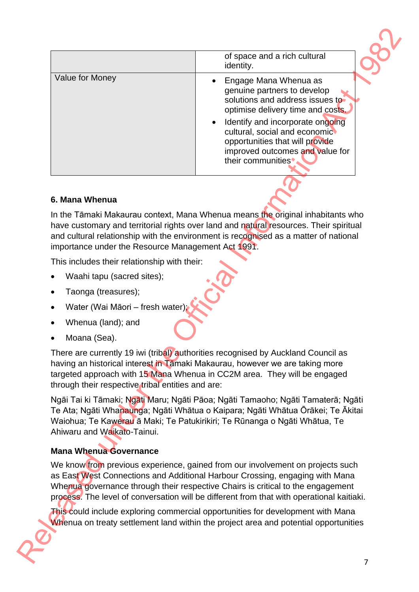|                                                    | of space and a rich cultural<br>identity.                                                                                                                                                                                                                                                                                                      |
|----------------------------------------------------|------------------------------------------------------------------------------------------------------------------------------------------------------------------------------------------------------------------------------------------------------------------------------------------------------------------------------------------------|
| Value for Money                                    | Engage Mana Whenua as<br>genuine partners to develop<br>solutions and address issues to<br>optimise delivery time and costs.<br>Identify and incorporate ongoing<br>cultural, social and economic<br>opportunities that will provide<br>improved outcomes and value for<br>their communities <sup>*</sup>                                      |
| 6. Mana Whenua                                     |                                                                                                                                                                                                                                                                                                                                                |
| importance under the Resource Management Act 1991. | In the Tāmaki Makaurau context, Mana Whenua means the original inhabitants who<br>have customary and territorial rights over land and natural resources. Their spiritual<br>and cultural relationship with the environment is recognised as a matter of national                                                                               |
| This includes their relationship with their:       |                                                                                                                                                                                                                                                                                                                                                |
| Waahi tapu (sacred sites);                         |                                                                                                                                                                                                                                                                                                                                                |
| Taonga (treasures);                                |                                                                                                                                                                                                                                                                                                                                                |
| Water (Wai Māori - fresh water);                   |                                                                                                                                                                                                                                                                                                                                                |
| Whenua (land); and                                 |                                                                                                                                                                                                                                                                                                                                                |
| Moana (Sea).                                       |                                                                                                                                                                                                                                                                                                                                                |
| through their respective tribal entities and are:  | There are currently 19 iwi (tribal) authorities recognised by Auckland Council as<br>having an historical interest in Tamaki Makaurau, however we are taking more<br>targeted approach with 15 Mana Whenua in CC2M area. They will be engaged                                                                                                  |
| Ahiwaru and Waikato-Tainui.                        | Ngāi Tai ki Tāmaki; Ngāti Maru; Ngāti Pāoa; Ngāti Tamaoho; Ngāti Tamaterā; Ngāti<br>Te Ata; Ngāti Whanaunga; Ngāti Whātua o Kaipara; Ngāti Whātua Ōrākei; Te Ākitai<br>Waiohua; Te Kawerau ā Maki; Te Patukirikiri; Te Rūnanga o Ngāti Whātua, Te                                                                                              |
| <b>Mana Whenua Governance</b>                      |                                                                                                                                                                                                                                                                                                                                                |
|                                                    | We know from previous experience, gained from our involvement on projects such<br>as East West Connections and Additional Harbour Crossing, engaging with Mana<br>Whenua governance through their respective Chairs is critical to the engagement<br>process. The level of conversation will be different from that with operational kaitiaki. |
|                                                    |                                                                                                                                                                                                                                                                                                                                                |

#### **6. Mana Whenua**

- Waahi tapu (sacred sites);
- Taonga (treasures);
- Water (Wai Māori fresh water);
- Whenua (land); and
- Moana (Sea).

### **Mana Whenua Governance**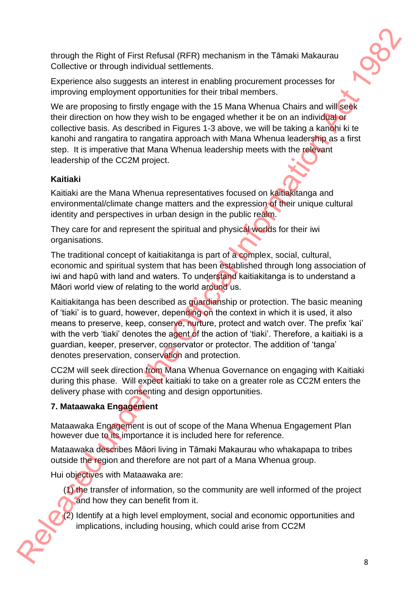through the Right of First Refusal (RFR) mechanism in the Tāmaki Makaurau Collective or through individual settlements.

Experience also suggests an interest in enabling procurement processes for improving employment opportunities for their tribal members.

We are proposing to firstly engage with the 15 Mana Whenua Chairs and will seek their direction on how they wish to be engaged whether it be on an individual or collective basis. As described in Figures 1-3 above, we will be taking a kanohi ki te kanohi and rangatira to rangatira approach with Mana Whenua leadership as a first step. It is imperative that Mana Whenua leadership meets with the relevant leadership of the CC2M project.

### **Kaitiaki**

Kaitiaki are the Mana Whenua representatives focused on kaitiakitanga and environmental/climate change matters and the expression of their unique cultural identity and perspectives in urban design in the public realm.

They care for and represent the spiritual and physical worlds for their iwi organisations.

The traditional concept of kaitiakitanga is part of a complex, social, cultural, economic and spiritual system that has been established through long association of iwi and hapū with land and waters. To understand kaitiakitanga is to understand a Māori world view of relating to the world around us.

Kaitiakitanga has been described as guardianship or protection. The basic meaning of 'tiaki' is to guard, however, depending on the context in which it is used, it also means to preserve, keep, conserve, nurture, protect and watch over. The prefix 'kai' with the verb 'tiaki' denotes the agent of the action of 'tiaki'. Therefore, a kaitiaki is a guardian, keeper, preserver, conservator or protector. The addition of 'tanga' denotes preservation, conservation and protection. through the Right of First Relusal (RFR) mechanism in the Tamaki Makaurou<br>Collective or through individual surtisments.<br>
Experience also suggests an interest in encohing procurement processes for<br>
Experience also suggests

CC2M will seek direction from Mana Whenua Governance on engaging with Kaitiaki during this phase. Will expect kaitiaki to take on a greater role as CC2M enters the delivery phase with consenting and design opportunities.

### **7. Mataawaka Engagement**

Mataawaka Engagement is out of scope of the Mana Whenua Engagement Plan however due to its importance it is included here for reference.

Mataawaka describes Māori living in Tāmaki Makaurau who whakapapa to tribes outside the region and therefore are not part of a Mana Whenua group.

Hui objectives with Mataawaka are:

(1) the transfer of information, so the community are well informed of the project and how they can benefit from it.

(2) Identify at a high level employment, social and economic opportunities and implications, including housing, which could arise from CC2M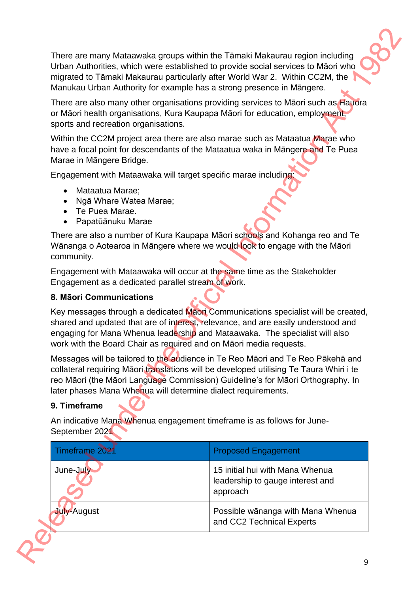- Mataatua Marae;
- Ngā Whare Watea Marae;
- Te Puea Marae.
- Papatūānuku Marae

#### **8. Māori Communications**

### **9. Timeframe**

|                                                                                               | There are many Mataawaka groups within the Tāmaki Makaurau region including<br>Urban Authorities, which were established to provide social services to Māori who<br>migrated to Tāmaki Makaurau particularly after World War 2. Within CC2M, the<br>Manukau Urban Authority for example has a strong presence in Māngere.   |
|-----------------------------------------------------------------------------------------------|-----------------------------------------------------------------------------------------------------------------------------------------------------------------------------------------------------------------------------------------------------------------------------------------------------------------------------|
| sports and recreation organisations.                                                          | There are also many other organisations providing services to Maori such as Hauora<br>or Māori health organisations, Kura Kaupapa Māori for education, employment,                                                                                                                                                          |
| Marae in Māngere Bridge.                                                                      | Within the CC2M project area there are also marae such as Mataatua Marae who<br>have a focal point for descendants of the Mataatua waka in Māngere and Te Puea                                                                                                                                                              |
| Engagement with Mataawaka will target specific marae including:                               |                                                                                                                                                                                                                                                                                                                             |
| Mataatua Marae;<br>$\bullet$<br>Ngā Whare Watea Marae;<br>Te Puea Marae.<br>Papatūānuku Marae |                                                                                                                                                                                                                                                                                                                             |
| community.                                                                                    | There are also a number of Kura Kaupapa Māori schools and Kohanga reo and Te<br>Wānanga o Aotearoa in Māngere where we would look to engage with the Māori                                                                                                                                                                  |
| Engagement as a dedicated parallel stream of work.                                            | Engagement with Mataawaka will occur at the same time as the Stakeholder                                                                                                                                                                                                                                                    |
| 8. Māori Communications                                                                       |                                                                                                                                                                                                                                                                                                                             |
|                                                                                               | Key messages through a dedicated Maori Communications specialist will be created,<br>shared and updated that are of interest, relevance, and are easily understood and<br>engaging for Mana Whenua leadership and Mataawaka. The specialist will also<br>work with the Board Chair as required and on Māori media requests. |
| later phases Mana Whenua will determine dialect requirements.                                 | Messages will be tailored to the audience in Te Reo Māori and Te Reo Pākehā and<br>collateral requiring Māori translations will be developed utilising Te Taura Whiri i te<br>reo Māori (the Māori Language Commission) Guideline's for Māori Orthography. In                                                               |
| 9. Timeframe                                                                                  |                                                                                                                                                                                                                                                                                                                             |
| September 2021                                                                                | An indicative Mana Whenua engagement timeframe is as follows for June-                                                                                                                                                                                                                                                      |
| Timeframe 2021                                                                                | <b>Proposed Engagement</b>                                                                                                                                                                                                                                                                                                  |
| June-July                                                                                     | 15 initial hui with Mana Whenua<br>leadership to gauge interest and<br>approach                                                                                                                                                                                                                                             |
|                                                                                               | Possible wānanga with Mana Whenua                                                                                                                                                                                                                                                                                           |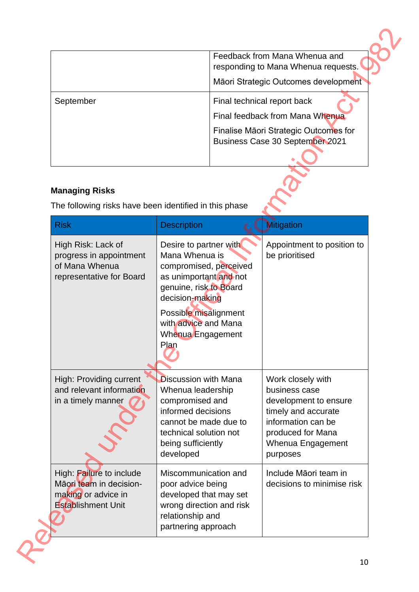|           | Feedback from Mana Whenua and<br>responding to Mana Whenua requests.<br>Māori Strategic Outcomes development                               |
|-----------|--------------------------------------------------------------------------------------------------------------------------------------------|
| September | Final technical report back<br>Final feedback from Mana Whenua<br>Finalise Māori Strategic Outcomes for<br>Business Case 30 September 2021 |

## **Managing Risks**

|                                                                                                         |                                                                                                                                                                                                                         | Feedback from Mana Whenua and<br>responding to Mana Whenua requests.<br>Māori Strategic Outcomes development                                                   |  |
|---------------------------------------------------------------------------------------------------------|-------------------------------------------------------------------------------------------------------------------------------------------------------------------------------------------------------------------------|----------------------------------------------------------------------------------------------------------------------------------------------------------------|--|
| September                                                                                               |                                                                                                                                                                                                                         | Final technical report back<br>Final feedback from Mana Whenua<br>Finalise Māori Strategic Outcomes for<br><b>Business Case 30 September 2021</b>              |  |
| <b>Managing Risks</b><br>The following risks have been identified in this phase                         |                                                                                                                                                                                                                         |                                                                                                                                                                |  |
| <b>Risk</b>                                                                                             | <b>Description</b>                                                                                                                                                                                                      | <b>Mitigation</b>                                                                                                                                              |  |
| High Risk: Lack of<br>progress in appointment<br>of Mana Whenua<br>representative for Board             | Desire to partner with<br>Mana Whenua is<br>compromised, perceived<br>as unimportant and not<br>genuine, risk to Board<br>decision-making<br>Possible misalignment<br>with advice and Mana<br>Whenua Engagement<br>Plan | Appointment to position to<br>be prioritised                                                                                                                   |  |
| High: Providing current<br>and relevant information<br>in a timely manner                               | <b>Discussion with Mana</b><br>Whenua leadership<br>compromised and<br>informed decisions<br>cannot be made due to<br>technical solution not<br>being sufficiently<br>developed                                         | Work closely with<br>business case<br>development to ensure<br>timely and accurate<br>information can be<br>produced for Mana<br>Whenua Engagement<br>purposes |  |
| High: Failure to include<br>Māori team in decision-<br>making or advice in<br><b>Establishment Unit</b> | Miscommunication and<br>poor advice being<br>developed that may set<br>wrong direction and risk<br>relationship and<br>partnering approach                                                                              | Include Māori team in<br>decisions to minimise risk                                                                                                            |  |